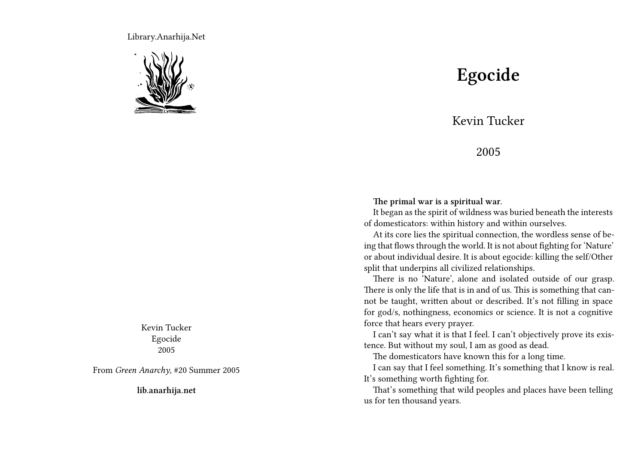Library.Anarhija.Net



Kevin Tucker Egocide 2005

From *Green Anarchy*, #20 Summer 2005

**lib.anarhija.net**

## **Egocide**

## Kevin Tucker

2005

**The primal war is a spiritual war.**

It began as the spirit of wildness was buried beneath the interests of domesticators: within history and within ourselves.

At its core lies the spiritual connection, the wordless sense of being that flows through the world. It is not about fighting for 'Nature' or about individual desire. It is about egocide: killing the self/Other split that underpins all civilized relationships.

There is no 'Nature', alone and isolated outside of our grasp. There is only the life that is in and of us. This is something that cannot be taught, written about or described. It's not filling in space for god/s, nothingness, economics or science. It is not a cognitive force that hears every prayer.

I can't say what it is that I feel. I can't objectively prove its existence. But without my soul, I am as good as dead.

The domesticators have known this for a long time.

I can say that I feel something. It's something that I know is real. It's something worth fighting for.

That's something that wild peoples and places have been telling us for ten thousand years.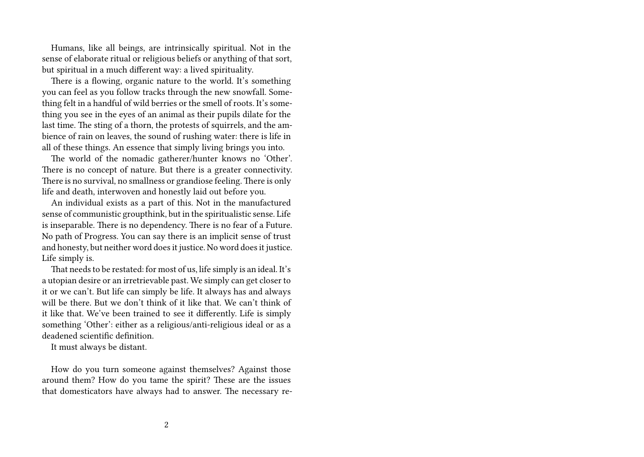Humans, like all beings, are intrinsically spiritual. Not in the sense of elaborate ritual or religious beliefs or anything of that sort, but spiritual in a much different way: a lived spirituality.

There is a flowing, organic nature to the world. It's something you can feel as you follow tracks through the new snowfall. Something felt in a handful of wild berries or the smell of roots. It's something you see in the eyes of an animal as their pupils dilate for the last time. The sting of a thorn, the protests of squirrels, and the ambience of rain on leaves, the sound of rushing water: there is life in all of these things. An essence that simply living brings you into.

The world of the nomadic gatherer/hunter knows no 'Other'. There is no concept of nature. But there is a greater connectivity. There is no survival, no smallness or grandiose feeling. There is only life and death, interwoven and honestly laid out before you.

An individual exists as a part of this. Not in the manufactured sense of communistic groupthink, but in the spiritualistic sense. Life is inseparable. There is no dependency. There is no fear of a Future. No path of Progress. You can say there is an implicit sense of trust and honesty, but neither word does it justice. No word does it justice. Life simply is.

That needs to be restated: for most of us, life simply is an ideal. It's a utopian desire or an irretrievable past. We simply can get closer to it or we can't. But life can simply be life. It always has and always will be there. But we don't think of it like that. We can't think of it like that. We've been trained to see it differently. Life is simply something 'Other': either as a religious/anti-religious ideal or as a deadened scientific definition.

It must always be distant.

How do you turn someone against themselves? Against those around them? How do you tame the spirit? These are the issues that domesticators have always had to answer. The necessary re-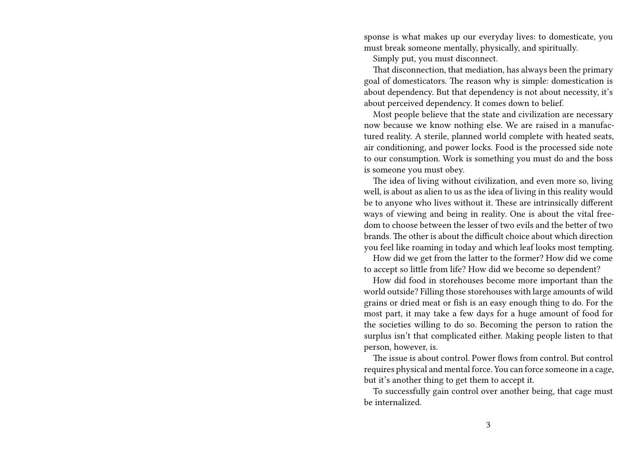sponse is what makes up our everyday lives: to domesticate, you must break someone mentally, physically, and spiritually.

Simply put, you must disconnect.

That disconnection, that mediation, has always been the primary goal of domesticators. The reason why is simple: domestication is about dependency. But that dependency is not about necessity, it's about perceived dependency. It comes down to belief.

Most people believe that the state and civilization are necessary now because we know nothing else. We are raised in a manufactured reality. A sterile, planned world complete with heated seats, air conditioning, and power locks. Food is the processed side note to our consumption. Work is something you must do and the boss is someone you must obey.

The idea of living without civilization, and even more so, living well, is about as alien to us as the idea of living in this reality would be to anyone who lives without it. These are intrinsically different ways of viewing and being in reality. One is about the vital freedom to choose between the lesser of two evils and the better of two brands. The other is about the difficult choice about which direction you feel like roaming in today and which leaf looks most tempting.

How did we get from the latter to the former? How did we come to accept so little from life? How did we become so dependent?

How did food in storehouses become more important than the world outside? Filling those storehouses with large amounts of wild grains or dried meat or fish is an easy enough thing to do. For the most part, it may take a few days for a huge amount of food for the societies willing to do so. Becoming the person to ration the surplus isn't that complicated either. Making people listen to that person, however, is.

The issue is about control. Power flows from control. But control requires physical and mental force. You can force someone in a cage, but it's another thing to get them to accept it.

To successfully gain control over another being, that cage must be internalized.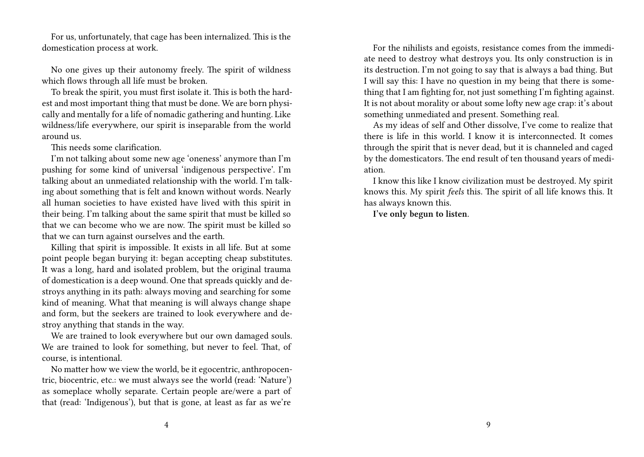For us, unfortunately, that cage has been internalized. This is the domestication process at work.

No one gives up their autonomy freely. The spirit of wildness which flows through all life must be broken.

To break the spirit, you must first isolate it. This is both the hardest and most important thing that must be done. We are born physically and mentally for a life of nomadic gathering and hunting. Like wildness/life everywhere, our spirit is inseparable from the world around us.

This needs some clarification.

I'm not talking about some new age 'oneness' anymore than I'm pushing for some kind of universal 'indigenous perspective'. I'm talking about an unmediated relationship with the world. I'm talking about something that is felt and known without words. Nearly all human societies to have existed have lived with this spirit in their being. I'm talking about the same spirit that must be killed so that we can become who we are now. The spirit must be killed so that we can turn against ourselves and the earth.

Killing that spirit is impossible. It exists in all life. But at some point people began burying it: began accepting cheap substitutes. It was a long, hard and isolated problem, but the original trauma of domestication is a deep wound. One that spreads quickly and destroys anything in its path: always moving and searching for some kind of meaning. What that meaning is will always change shape and form, but the seekers are trained to look everywhere and destroy anything that stands in the way.

We are trained to look everywhere but our own damaged souls. We are trained to look for something, but never to feel. That, of course, is intentional.

No matter how we view the world, be it egocentric, anthropocentric, biocentric, etc.: we must always see the world (read: 'Nature') as someplace wholly separate. Certain people are/were a part of that (read: 'Indigenous'), but that is gone, at least as far as we're

For the nihilists and egoists, resistance comes from the immediate need to destroy what destroys you. Its only construction is in its destruction. I'm not going to say that is always a bad thing. But I will say this: I have no question in my being that there is something that I am fighting for, not just something I'm fighting against. It is not about morality or about some lofty new age crap: it's about something unmediated and present. Something real.

As my ideas of self and Other dissolve, I've come to realize that there is life in this world. I know it is interconnected. It comes through the spirit that is never dead, but it is channeled and caged by the domesticators. The end result of ten thousand years of mediation.

I know this like I know civilization must be destroyed. My spirit knows this. My spirit *feels* this. The spirit of all life knows this. It has always known this.

**I've only begun to listen.**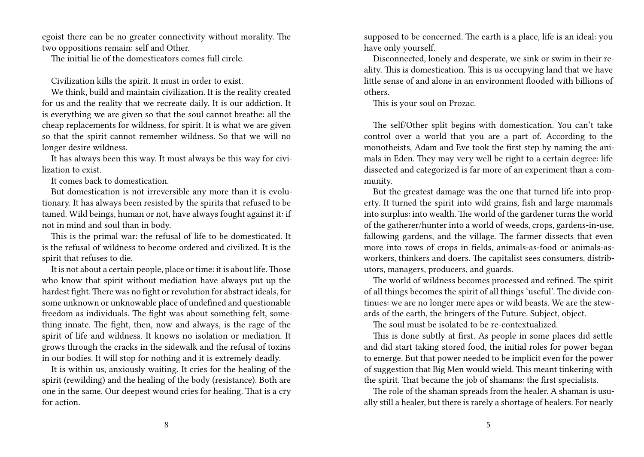egoist there can be no greater connectivity without morality. The two oppositions remain: self and Other.

The initial lie of the domesticators comes full circle.

Civilization kills the spirit. It must in order to exist.

We think, build and maintain civilization. It is the reality created for us and the reality that we recreate daily. It is our addiction. It is everything we are given so that the soul cannot breathe: all the cheap replacements for wildness, for spirit. It is what we are given so that the spirit cannot remember wildness. So that we will no longer desire wildness.

It has always been this way. It must always be this way for civilization to exist.

It comes back to domestication.

But domestication is not irreversible any more than it is evolutionary. It has always been resisted by the spirits that refused to be tamed. Wild beings, human or not, have always fought against it: if not in mind and soul than in body.

This is the primal war: the refusal of life to be domesticated. It is the refusal of wildness to become ordered and civilized. It is the spirit that refuses to die.

It is not about a certain people, place or time: it is about life.Those who know that spirit without mediation have always put up the hardest fight. There was no fight or revolution for abstract ideals, for some unknown or unknowable place of undefined and questionable freedom as individuals. The fight was about something felt, something innate. The fight, then, now and always, is the rage of the spirit of life and wildness. It knows no isolation or mediation. It grows through the cracks in the sidewalk and the refusal of toxins in our bodies. It will stop for nothing and it is extremely deadly.

It is within us, anxiously waiting. It cries for the healing of the spirit (rewilding) and the healing of the body (resistance). Both are one in the same. Our deepest wound cries for healing. That is a cry for action.

supposed to be concerned. The earth is a place, life is an ideal: you have only yourself.

Disconnected, lonely and desperate, we sink or swim in their reality. This is domestication. This is us occupying land that we have little sense of and alone in an environment flooded with billions of others.

This is your soul on Prozac.

The self/Other split begins with domestication. You can't take control over a world that you are a part of. According to the monotheists, Adam and Eve took the first step by naming the animals in Eden. They may very well be right to a certain degree: life dissected and categorized is far more of an experiment than a community.

But the greatest damage was the one that turned life into property. It turned the spirit into wild grains, fish and large mammals into surplus: into wealth. The world of the gardener turns the world of the gatherer/hunter into a world of weeds, crops, gardens-in-use, fallowing gardens, and the village. The farmer dissects that even more into rows of crops in fields, animals-as-food or animals-asworkers, thinkers and doers. The capitalist sees consumers, distributors, managers, producers, and guards.

The world of wildness becomes processed and refined. The spirit of all things becomes the spirit of all things 'useful'. The divide continues: we are no longer mere apes or wild beasts. We are the stewards of the earth, the bringers of the Future. Subject, object.

The soul must be isolated to be re-contextualized.

This is done subtly at first. As people in some places did settle and did start taking stored food, the initial roles for power began to emerge. But that power needed to be implicit even for the power of suggestion that Big Men would wield. This meant tinkering with the spirit. That became the job of shamans: the first specialists.

The role of the shaman spreads from the healer. A shaman is usually still a healer, but there is rarely a shortage of healers. For nearly